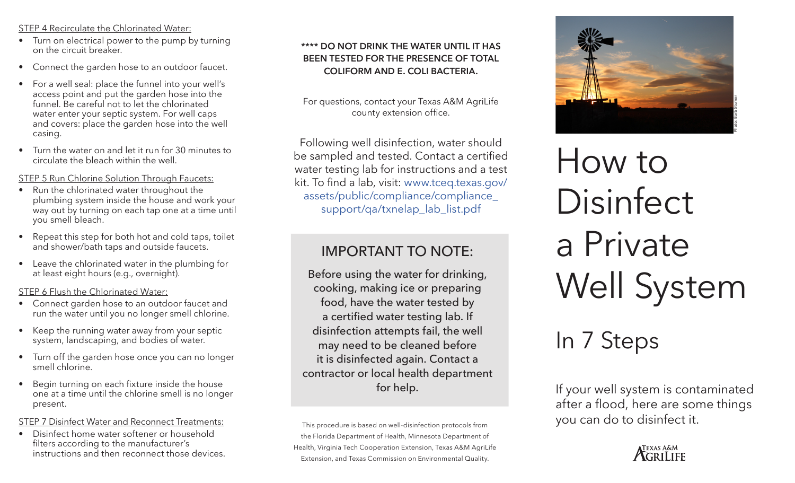#### STEP 4 Recirculate the Chlorinated Water:

- Turn on electrical power to the pump by turning on the circuit breaker.
- Connect the garden hose to an outdoor faucet.
- For a well seal: place the funnel into your well's access point and put the garden hose into the funnel. Be careful not to let the chlorinated water enter your septic system. For well caps and covers: place the garden hose into the well casing.
- Turn the water on and let it run for 30 minutes to circulate the bleach within the well.

STEP 5 Run Chlorine Solution Through Faucets:

- Run the chlorinated water throughout the plumbing system inside the house and work your way out by turning on each tap one at a time until you smell bleach.
- Repeat this step for both hot and cold taps, toilet and shower/bath taps and outside faucets.
- Leave the chlorinated water in the plumbing for at least eight hours (e.g., overnight).

STEP 6 Flush the Chlorinated Water:

- Connect garden hose to an outdoor faucet and run the water until you no longer smell chlorine.
- Keep the running water away from your septic system, landscaping, and bodies of water.
- Turn off the garden hose once you can no longer smell chlorine.
- Begin turning on each fixture inside the house one at a time until the chlorine smell is no longer present.

#### STEP 7 Disinfect Water and Reconnect Treatments:

• Disinfect home water softener or household filters according to the manufacturer's instructions and then reconnect those devices.

#### **\*\*\*\* DO NOT DRINK THE WATER UNTIL IT HAS BEEN TESTED FOR THE PRESENCE OF TOTAL COLIFORM AND E. COLI BACTERIA.**

For questions, contact your Texas A&M AgriLife county extension office.

Following well disinfection, water should be sampled and tested. Contact a certified water testing lab for instructions and a test kit. To find a lab, visit: www.tceq.texas.gov/ assets/public/compliance/compliance\_ support/qa/txnelap\_lab\_list.pdf

## IMPORTANT TO NOTE:

Before using the water for drinking, cooking, making ice or preparing food, have the water tested by a certified water testing lab. If disinfection attempts fail, the well may need to be cleaned before it is disinfected again. Contact a contractor or local health department for help.

This procedure is based on well-disinfection protocols from the Florida Department of Health, Minnesota Department of Health, Virginia Tech Cooperation Extension, Texas A&M AgriLife Extension, and Texas Commission on Environmental Quality.



# How to Disinfect a Private Well System

# In 7 Steps

If your well system is contaminated after a flood, here are some things you can do to disinfect it.